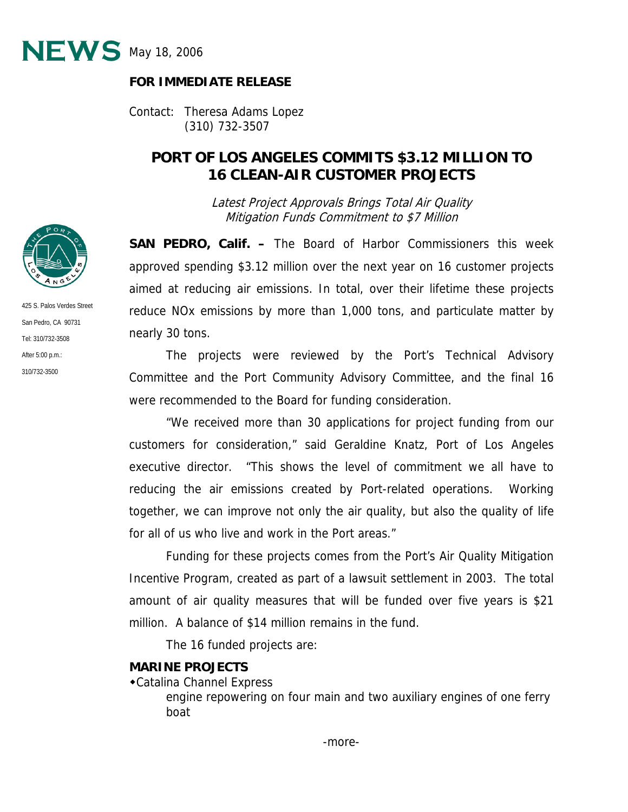

#### **FOR IMMEDIATE RELEASE**

Contact: Theresa Adams Lopez (310) 732-3507

# **PORT OF LOS ANGELES COMMITS \$3.12 MILLION TO 16 CLEAN-AIR CUSTOMER PROJECTS**

Latest Project Approvals Brings Total Air Quality Mitigation Funds Commitment to \$7 Million

**SAN PEDRO, Calif. –** The Board of Harbor Commissioners this week approved spending \$3.12 million over the next year on 16 customer projects aimed at reducing air emissions. In total, over their lifetime these projects reduce NOx emissions by more than 1,000 tons, and particulate matter by nearly 30 tons.

 The projects were reviewed by the Port's Technical Advisory Committee and the Port Community Advisory Committee, and the final 16 were recommended to the Board for funding consideration.

 "We received more than 30 applications for project funding from our customers for consideration," said Geraldine Knatz, Port of Los Angeles executive director. "This shows the level of commitment we all have to reducing the air emissions created by Port-related operations. Working together, we can improve not only the air quality, but also the quality of life for all of us who live and work in the Port areas."

 Funding for these projects comes from the Port's Air Quality Mitigation Incentive Program, created as part of a lawsuit settlement in 2003. The total amount of air quality measures that will be funded over five years is \$21 million. A balance of \$14 million remains in the fund.

The 16 funded projects are:

#### **MARINE PROJECTS**

Catalina Channel Express

 engine repowering on four main and two auxiliary engines of one ferry boat



425 S. Palos Verdes Street San Pedro, CA 90731 Tel: 310/732-3508 After 5:00 p.m.: 310/732-3500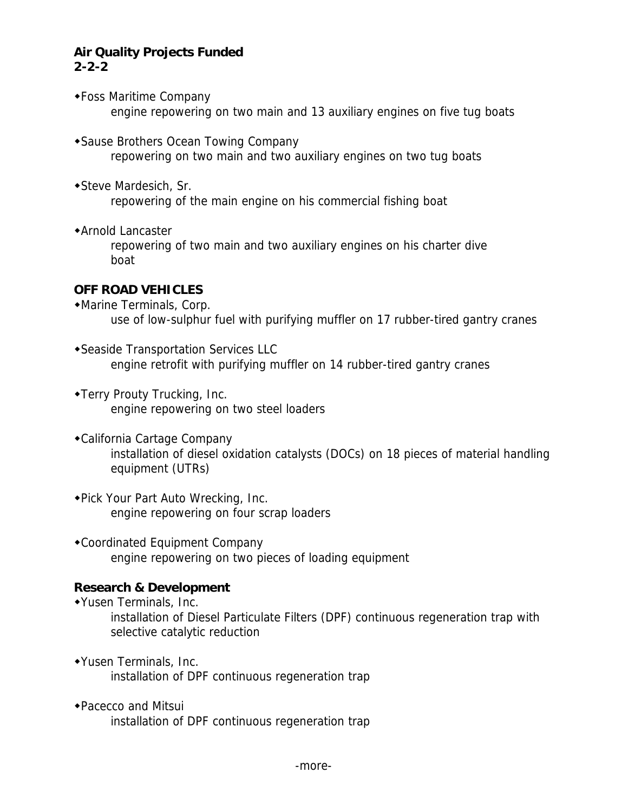### **Air Quality Projects Funded 2-2-2**

- Foss Maritime Company engine repowering on two main and 13 auxiliary engines on five tug boats
- Sause Brothers Ocean Towing Company repowering on two main and two auxiliary engines on two tug boats
- Steve Mardesich, Sr. repowering of the main engine on his commercial fishing boat
- Arnold Lancaster

 repowering of two main and two auxiliary engines on his charter dive boat

## **OFF ROAD VEHICLES**

Marine Terminals, Corp.

use of low-sulphur fuel with purifying muffler on 17 rubber-tired gantry cranes

- Seaside Transportation Services LLC engine retrofit with purifying muffler on 14 rubber-tired gantry cranes
- Terry Prouty Trucking, Inc. engine repowering on two steel loaders
- California Cartage Company installation of diesel oxidation catalysts (DOCs) on 18 pieces of material handling equipment (UTRs)
- Pick Your Part Auto Wrecking, Inc. engine repowering on four scrap loaders
- Coordinated Equipment Company engine repowering on two pieces of loading equipment

## **Research & Development**

- Yusen Terminals, Inc. installation of Diesel Particulate Filters (DPF) continuous regeneration trap with selective catalytic reduction
- Yusen Terminals, Inc. installation of DPF continuous regeneration trap
- Pacecco and Mitsui installation of DPF continuous regeneration trap